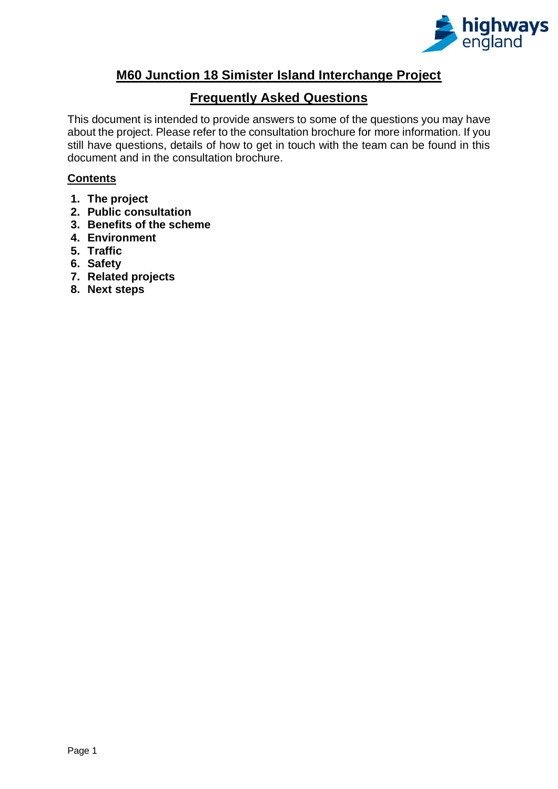

## **M60 Junction 18 Simister Island Interchange Project**

## **Frequently Asked Questions**

This document is intended to provide answers to some of the questions you may have about the project. Please refer to the consultation brochure for more information. If you still have questions, details of how to get in touch with the team can be found in this document and in the consultation brochure.

## **Contents**

- **1. [The project](#page-1-0)**
- **2. Public consultation**
- **3. [Benefits of the scheme](#page-5-0)**
- **4. Environment**
- **5. Traffic**
- **6. Safety**
- **7. Related projects**
- **8. Next steps**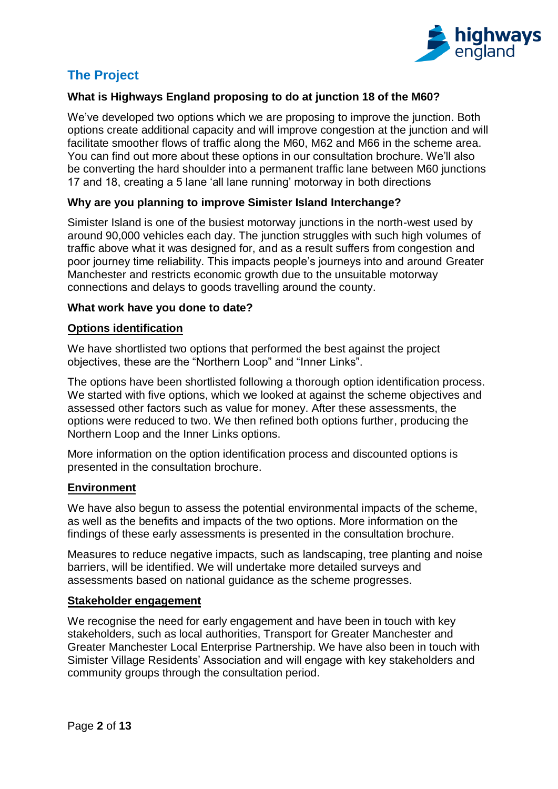

# <span id="page-1-0"></span>**The Project**

## **What is Highways England proposing to do at junction 18 of the M60?**

We've developed two options which we are proposing to improve the junction. Both options create additional capacity and will improve congestion at the junction and will facilitate smoother flows of traffic along the M60, M62 and M66 in the scheme area. You can find out more about these options in our consultation brochure. We'll also be converting the hard shoulder into a permanent traffic lane between M60 junctions 17 and 18, creating a 5 lane 'all lane running' motorway in both directions

### **Why are you planning to improve Simister Island Interchange?**

Simister Island is one of the busiest motorway junctions in the north-west used by around 90,000 vehicles each day. The junction struggles with such high volumes of traffic above what it was designed for, and as a result suffers from congestion and poor journey time reliability. This impacts people's journeys into and around Greater Manchester and restricts economic growth due to the unsuitable motorway connections and delays to goods travelling around the county.

### **What work have you done to date?**

### **Options identification**

We have shortlisted two options that performed the best against the project objectives, these are the "Northern Loop" and "Inner Links".

The options have been shortlisted following a thorough option identification process. We started with five options, which we looked at against the scheme objectives and assessed other factors such as value for money. After these assessments, the options were reduced to two. We then refined both options further, producing the Northern Loop and the Inner Links options.

More information on the option identification process and discounted options is presented in the consultation brochure.

### **Environment**

We have also begun to assess the potential environmental impacts of the scheme, as well as the benefits and impacts of the two options. More information on the findings of these early assessments is presented in the consultation brochure.

Measures to reduce negative impacts, such as landscaping, tree planting and noise barriers, will be identified. We will undertake more detailed surveys and assessments based on national guidance as the scheme progresses.

### **Stakeholder engagement**

We recognise the need for early engagement and have been in touch with key stakeholders, such as local authorities, Transport for Greater Manchester and Greater Manchester Local Enterprise Partnership. We have also been in touch with Simister Village Residents' Association and will engage with key stakeholders and community groups through the consultation period.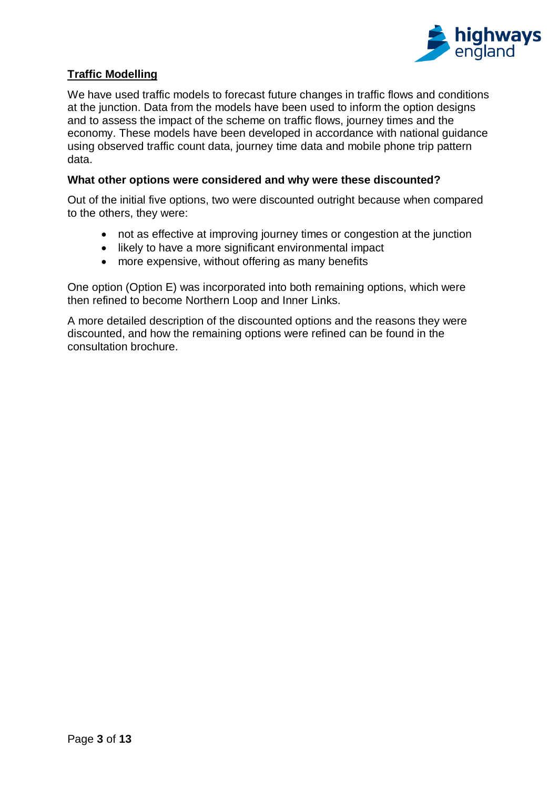

## **Traffic Modelling**

We have used traffic models to forecast future changes in traffic flows and conditions at the junction. Data from the models have been used to inform the option designs and to assess the impact of the scheme on traffic flows, journey times and the economy. These models have been developed in accordance with national guidance using observed traffic count data, journey time data and mobile phone trip pattern data.

## **What other options were considered and why were these discounted?**

Out of the initial five options, two were discounted outright because when compared to the others, they were:

- not as effective at improving journey times or congestion at the junction
- likely to have a more significant environmental impact
- more expensive, without offering as many benefits

One option (Option E) was incorporated into both remaining options, which were then refined to become Northern Loop and Inner Links.

A more detailed description of the discounted options and the reasons they were discounted, and how the remaining options were refined can be found in the consultation brochure.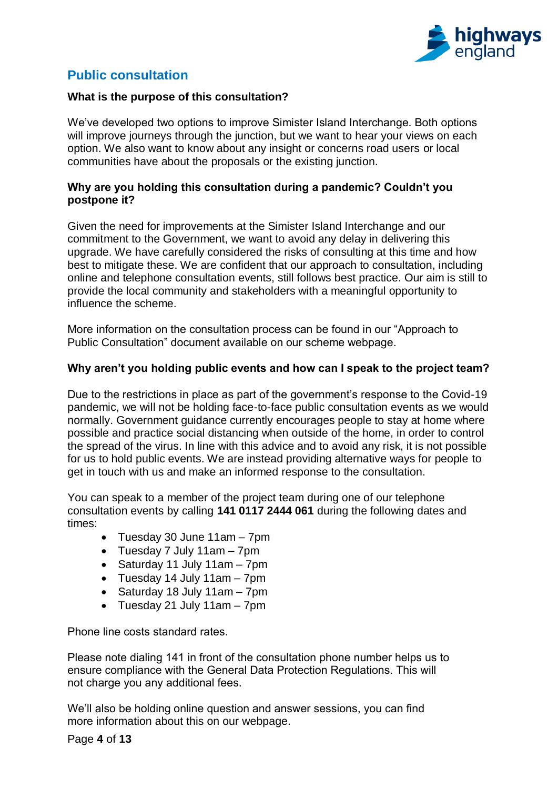

## **Public consultation**

### **What is the purpose of this consultation?**

We've developed two options to improve Simister Island Interchange. Both options will improve journeys through the junction, but we want to hear your views on each option. We also want to know about any insight or concerns road users or local communities have about the proposals or the existing junction.

### **Why are you holding this consultation during a pandemic? Couldn't you postpone it?**

Given the need for improvements at the Simister Island Interchange and our commitment to the Government, we want to avoid any delay in delivering this upgrade. We have carefully considered the risks of consulting at this time and how best to mitigate these. We are confident that our approach to consultation, including online and telephone consultation events, still follows best practice. Our aim is still to provide the local community and stakeholders with a meaningful opportunity to influence the scheme.

More information on the consultation process can be found in our "Approach to Public Consultation" document available on our scheme webpage.

### **Why aren't you holding public events and how can I speak to the project team?**

Due to the restrictions in place as part of the government's response to the Covid-19 pandemic, we will not be holding face-to-face public consultation events as we would normally. Government guidance currently encourages people to stay at home where possible and practice social distancing when outside of the home, in order to control the spread of the virus. In line with this advice and to avoid any risk, it is not possible for us to hold public events. We are instead providing alternative ways for people to get in touch with us and make an informed response to the consultation.

You can speak to a member of the project team during one of our telephone consultation events by calling **141 0117 2444 061** during the following dates and times:

- Tuesday 30 June 11am 7pm
- Tuesday 7 July 11am 7pm
- Saturday 11 July 11am 7pm
- Tuesday 14 July 11am 7pm
- Saturday 18 July 11am 7pm
- Tuesday 21 July 11am 7pm

Phone line costs standard rates.

Please note dialing 141 in front of the consultation phone number helps us to ensure compliance with the General Data Protection Regulations. This will not charge you any additional fees.

We'll also be holding online question and answer sessions, you can find more information about this on our webpage.

Page **4** of **13**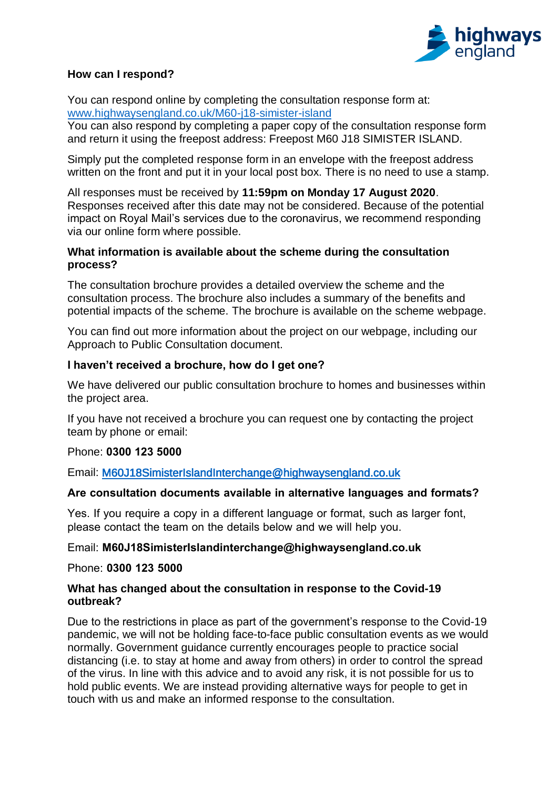

## **How can I respond?**

You can respond online by completing the consultation response form at: [www.highwaysengland.co.uk/M60-j18-simister-island](http://www.highwaysengland.co.uk/M60-j18-simister-island)

You can also respond by completing a paper copy of the consultation response form and return it using the freepost address: Freepost M60 J18 SIMISTER ISLAND.

Simply put the completed response form in an envelope with the freepost address written on the front and put it in your local post box. There is no need to use a stamp.

All responses must be received by **11:59pm on Monday 17 August 2020**. Responses received after this date may not be considered. Because of the potential impact on Royal Mail's services due to the coronavirus, we recommend responding via our online form where possible.

### **What information is available about the scheme during the consultation process?**

The consultation brochure provides a detailed overview the scheme and the consultation process. The brochure also includes a summary of the benefits and potential impacts of the scheme. The brochure is available on the scheme webpage.

You can find out more information about the project on our webpage, including our Approach to Public Consultation document.

## **I haven't received a brochure, how do I get one?**

We have delivered our public consultation brochure to homes and businesses within the project area.

If you have not received a brochure you can request one by contacting the project team by phone or email:

## Phone: **0300 123 5000**

Email: [M60J18SimisterIslandInterchange@highwaysengland.co.uk](mailto:M60J18SimisterIslandInterchange@highwaysengland.co.uk) 

## **Are consultation documents available in alternative languages and formats?**

Yes. If you require a copy in a different language or format, such as larger font, please contact the team on the details below and we will help you.

## Email: **M60J18SimisterIslandinterchange@highwaysengland.co.uk**

Phone: **0300 123 5000**

### **What has changed about the consultation in response to the Covid-19 outbreak?**

Due to the restrictions in place as part of the government's response to the Covid-19 pandemic, we will not be holding face-to-face public consultation events as we would normally. Government guidance currently encourages people to practice social distancing (i.e. to stay at home and away from others) in order to control the spread of the virus. In line with this advice and to avoid any risk, it is not possible for us to hold public events. We are instead providing alternative ways for people to get in touch with us and make an informed response to the consultation.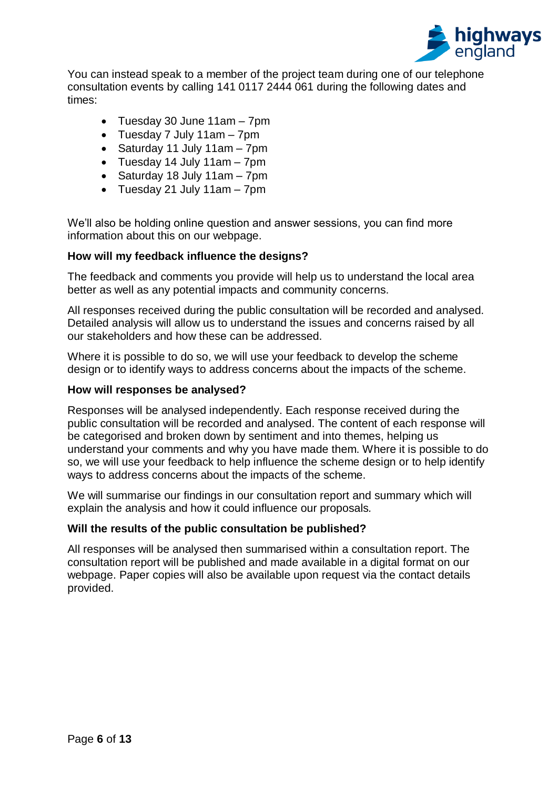

You can instead speak to a member of the project team during one of our telephone consultation events by calling 141 0117 2444 061 during the following dates and times:

- Tuesday 30 June 11am 7pm
- Tuesday 7 July 11am 7pm
- Saturday 11 July 11am 7pm
- Tuesday 14 July 11am 7pm
- Saturday 18 July 11am 7pm
- Tuesday 21 July 11am 7pm

We'll also be holding online question and answer sessions, you can find more information about this on our webpage.

### **How will my feedback influence the designs?**

The feedback and comments you provide will help us to understand the local area better as well as any potential impacts and community concerns.

All responses received during the public consultation will be recorded and analysed. Detailed analysis will allow us to understand the issues and concerns raised by all our stakeholders and how these can be addressed.

Where it is possible to do so, we will use your feedback to develop the scheme design or to identify ways to address concerns about the impacts of the scheme.

### **How will responses be analysed?**

Responses will be analysed independently. Each response received during the public consultation will be recorded and analysed. The content of each response will be categorised and broken down by sentiment and into themes, helping us understand your comments and why you have made them. Where it is possible to do so, we will use your feedback to help influence the scheme design or to help identify ways to address concerns about the impacts of the scheme.

We will summarise our findings in our consultation report and summary which will explain the analysis and how it could influence our proposals*.*

### **Will the results of the public consultation be published?**

<span id="page-5-0"></span>All responses will be analysed then summarised within a consultation report. The consultation report will be published and made available in a digital format on our webpage. Paper copies will also be available upon request via the contact details provided.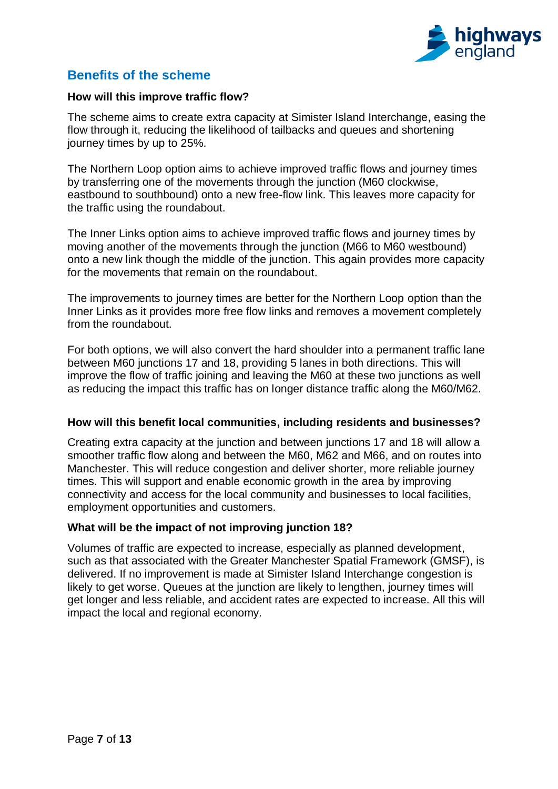

## **Benefits of the scheme**

### **How will this improve traffic flow?**

The scheme aims to create extra capacity at Simister Island Interchange, easing the flow through it, reducing the likelihood of tailbacks and queues and shortening journey times by up to 25%.

The Northern Loop option aims to achieve improved traffic flows and journey times by transferring one of the movements through the junction (M60 clockwise, eastbound to southbound) onto a new free-flow link. This leaves more capacity for the traffic using the roundabout.

The Inner Links option aims to achieve improved traffic flows and journey times by moving another of the movements through the junction (M66 to M60 westbound) onto a new link though the middle of the junction. This again provides more capacity for the movements that remain on the roundabout.

The improvements to journey times are better for the Northern Loop option than the Inner Links as it provides more free flow links and removes a movement completely from the roundabout.

For both options, we will also convert the hard shoulder into a permanent traffic lane between M60 junctions 17 and 18, providing 5 lanes in both directions. This will improve the flow of traffic joining and leaving the M60 at these two junctions as well as reducing the impact this traffic has on longer distance traffic along the M60/M62.

### **How will this benefit local communities, including residents and businesses?**

Creating extra capacity at the junction and between junctions 17 and 18 will allow a smoother traffic flow along and between the M60, M62 and M66, and on routes into Manchester. This will reduce congestion and deliver shorter, more reliable journey times. This will support and enable economic growth in the area by improving connectivity and access for the local community and businesses to local facilities, employment opportunities and customers.

### **What will be the impact of not improving junction 18?**

Volumes of traffic are expected to increase, especially as planned development, such as that associated with the Greater Manchester Spatial Framework (GMSF), is delivered. If no improvement is made at Simister Island Interchange congestion is likely to get worse. Queues at the junction are likely to lengthen, journey times will get longer and less reliable, and accident rates are expected to increase. All this will impact the local and regional economy.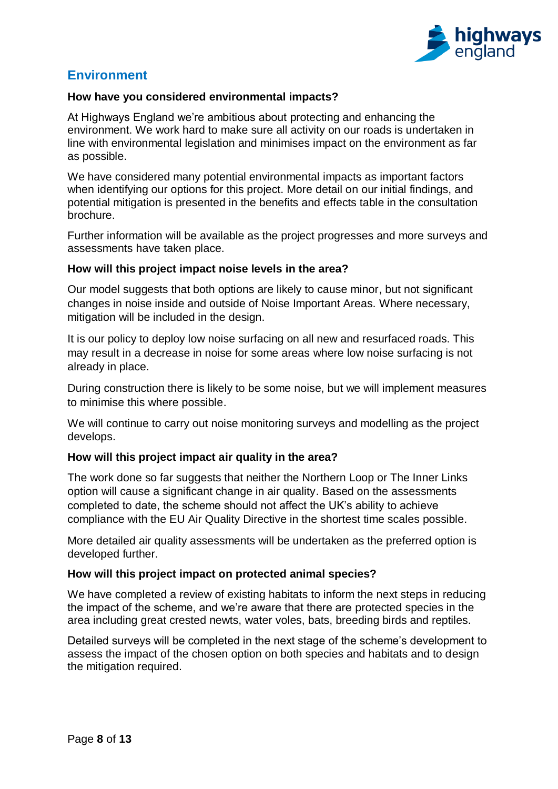

## **Environment**

### **How have you considered environmental impacts?**

At Highways England we're ambitious about protecting and enhancing the environment. We work hard to make sure all activity on our roads is undertaken in line with environmental legislation and minimises impact on the environment as far as possible.

We have considered many potential environmental impacts as important factors when identifying our options for this project. More detail on our initial findings, and potential mitigation is presented in the benefits and effects table in the consultation brochure.

Further information will be available as the project progresses and more surveys and assessments have taken place.

### **How will this project impact noise levels in the area?**

Our model suggests that both options are likely to cause minor, but not significant changes in noise inside and outside of Noise Important Areas. Where necessary, mitigation will be included in the design.

It is our policy to deploy low noise surfacing on all new and resurfaced roads. This may result in a decrease in noise for some areas where low noise surfacing is not already in place.

During construction there is likely to be some noise, but we will implement measures to minimise this where possible.

We will continue to carry out noise monitoring surveys and modelling as the project develops.

### **How will this project impact air quality in the area?**

The work done so far suggests that neither the Northern Loop or The Inner Links option will cause a significant change in air quality. Based on the assessments completed to date, the scheme should not affect the UK's ability to achieve compliance with the EU Air Quality Directive in the shortest time scales possible.

More detailed air quality assessments will be undertaken as the preferred option is developed further.

### **How will this project impact on protected animal species?**

We have completed a review of existing habitats to inform the next steps in reducing the impact of the scheme, and we're aware that there are protected species in the area including great crested newts, water voles, bats, breeding birds and reptiles.

Detailed surveys will be completed in the next stage of the scheme's development to assess the impact of the chosen option on both species and habitats and to design the mitigation required.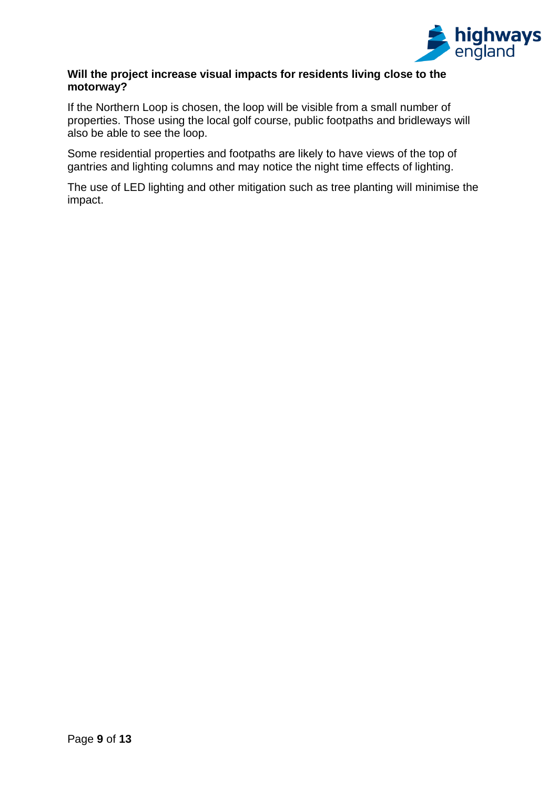

## **Will the project increase visual impacts for residents living close to the motorway?**

If the Northern Loop is chosen, the loop will be visible from a small number of properties. Those using the local golf course, public footpaths and bridleways will also be able to see the loop.

Some residential properties and footpaths are likely to have views of the top of gantries and lighting columns and may notice the night time effects of lighting.

The use of LED lighting and other mitigation such as tree planting will minimise the impact.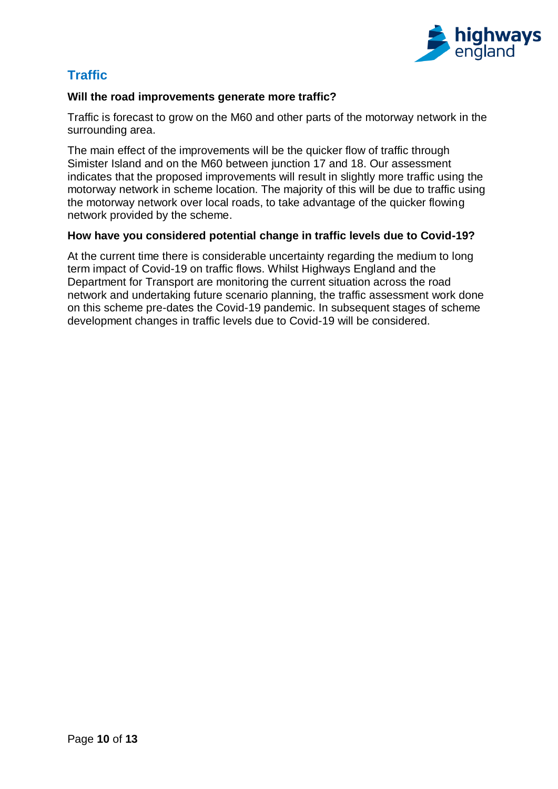

# **Traffic**

## **Will the road improvements generate more traffic?**

Traffic is forecast to grow on the M60 and other parts of the motorway network in the surrounding area.

The main effect of the improvements will be the quicker flow of traffic through Simister Island and on the M60 between junction 17 and 18. Our assessment indicates that the proposed improvements will result in slightly more traffic using the motorway network in scheme location. The majority of this will be due to traffic using the motorway network over local roads, to take advantage of the quicker flowing network provided by the scheme.

## **How have you considered potential change in traffic levels due to Covid-19?**

At the current time there is considerable uncertainty regarding the medium to long term impact of Covid-19 on traffic flows. Whilst Highways England and the Department for Transport are monitoring the current situation across the road network and undertaking future scenario planning, the traffic assessment work done on this scheme pre-dates the Covid-19 pandemic. In subsequent stages of scheme development changes in traffic levels due to Covid-19 will be considered.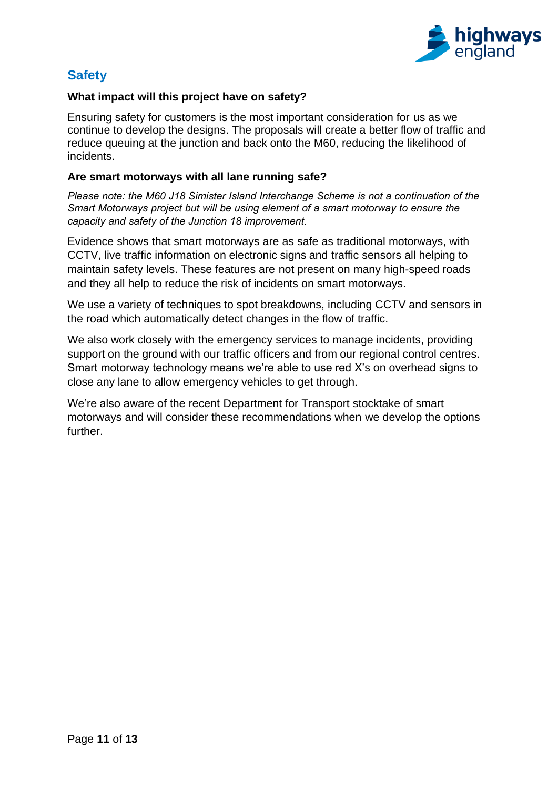

## **Safety**

## **What impact will this project have on safety?**

Ensuring safety for customers is the most important consideration for us as we continue to develop the designs. The proposals will create a better flow of traffic and reduce queuing at the junction and back onto the M60, reducing the likelihood of incidents.

### **Are smart motorways with all lane running safe?**

*Please note: the M60 J18 Simister Island Interchange Scheme is not a continuation of the Smart Motorways project but will be using element of a smart motorway to ensure the capacity and safety of the Junction 18 improvement.*

Evidence shows that smart motorways are as safe as traditional motorways, with CCTV, live traffic information on electronic signs and traffic sensors all helping to maintain safety levels. These features are not present on many high-speed roads and they all help to reduce the risk of incidents on smart motorways.

We use a variety of techniques to spot breakdowns, including CCTV and sensors in the road which automatically detect changes in the flow of traffic.

We also work closely with the emergency services to manage incidents, providing support on the ground with our traffic officers and from our regional control centres. Smart motorway technology means we're able to use red X's on overhead signs to close any lane to allow emergency vehicles to get through.

We're also aware of the recent Department for Transport stocktake of smart motorways and will consider these recommendations when we develop the options further.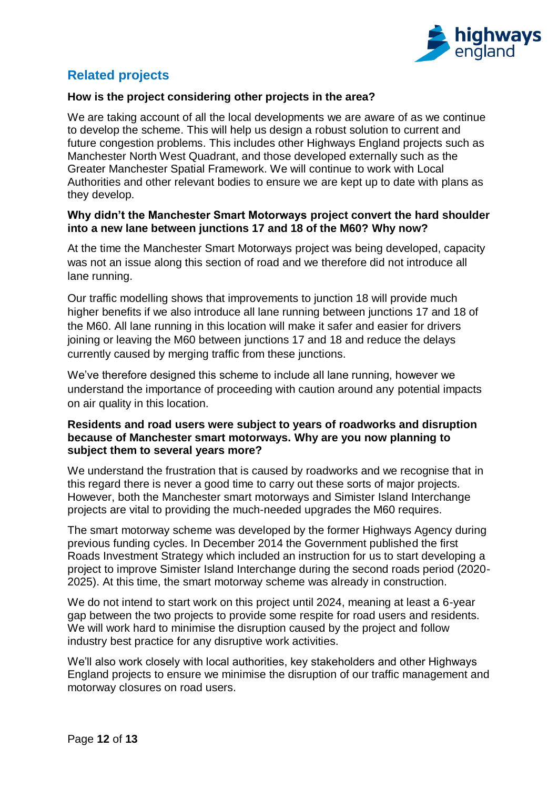

# **Related projects**

## **How is the project considering other projects in the area?**

We are taking account of all the local developments we are aware of as we continue to develop the scheme. This will help us design a robust solution to current and future congestion problems. This includes other Highways England projects such as Manchester North West Quadrant, and those developed externally such as the Greater Manchester Spatial Framework. We will continue to work with Local Authorities and other relevant bodies to ensure we are kept up to date with plans as they develop.

### **Why didn't the Manchester Smart Motorways project convert the hard shoulder into a new lane between junctions 17 and 18 of the M60? Why now?**

At the time the Manchester Smart Motorways project was being developed, capacity was not an issue along this section of road and we therefore did not introduce all lane running.

Our traffic modelling shows that improvements to junction 18 will provide much higher benefits if we also introduce all lane running between junctions 17 and 18 of the M60. All lane running in this location will make it safer and easier for drivers joining or leaving the M60 between junctions 17 and 18 and reduce the delays currently caused by merging traffic from these junctions.

We've therefore designed this scheme to include all lane running, however we understand the importance of proceeding with caution around any potential impacts on air quality in this location.

### **Residents and road users were subject to years of roadworks and disruption because of Manchester smart motorways. Why are you now planning to subject them to several years more?**

We understand the frustration that is caused by roadworks and we recognise that in this regard there is never a good time to carry out these sorts of major projects. However, both the Manchester smart motorways and Simister Island Interchange projects are vital to providing the much-needed upgrades the M60 requires.

The smart motorway scheme was developed by the former Highways Agency during previous funding cycles. In December 2014 the Government published the first Roads Investment Strategy which included an instruction for us to start developing a project to improve Simister Island Interchange during the second roads period (2020- 2025). At this time, the smart motorway scheme was already in construction.

We do not intend to start work on this project until 2024, meaning at least a 6-year gap between the two projects to provide some respite for road users and residents. We will work hard to minimise the disruption caused by the project and follow industry best practice for any disruptive work activities.

We'll also work closely with local authorities, key stakeholders and other Highways England projects to ensure we minimise the disruption of our traffic management and motorway closures on road users.